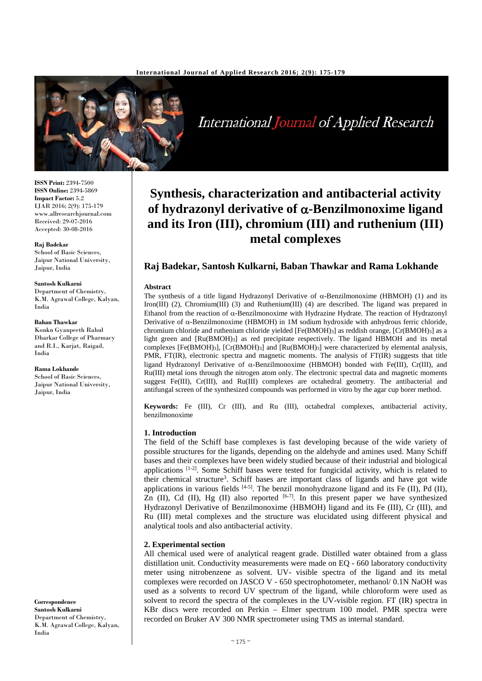

International Journal of Applied Research

# **Synthesis, characterization and antibacterial activity of hydrazonyl derivative of** α**-Benzilmonoxime ligand and its Iron (III), chromium (III) and ruthenium (III) metal complexes**

# **Raj Badekar, Santosh Kulkarni, Baban Thawkar and Rama Lokhande**

#### **Abstract**

The synthesis of a title ligand Hydrazonyl Derivative of α-Benzilmonoxime (HBMOH) (1) and its Iron(III) (2), Chromium(III) (3) and Ruthenium(III) (4) are described. The ligand was prepared in Ethanol from the reaction of α-Benzilmonoxime with Hydrazine Hydrate. The reaction of Hydrazonyl Derivative of  $\alpha$ -Benzilmonoxime (HBMOH) in 1M sodium hydroxide with anhydrous ferric chloride, chromium chloride and ruthenium chloride yielded [Fe(BMOH)3] as reddish orange, [Cr(BMOH)3] as a light green and [Ru(BMOH)3] as red precipitate respectively. The ligand HBMOH and its metal complexes  $[Fe(BMOH)_3]$ ,  $[Cr(BMOH)_3]$  and  $[Ru(BMOH)_3]$  were characterized by elemental analysis, PMR, FT(IR), electronic spectra and magnetic moments. The analysis of FT(IR) suggests that title ligand Hydrazonyl Derivative of α-Benzilmonoxime (HBMOH) bonded with Fe(III), Cr(III), and Ru(III) metal ions through the nitrogen atom only. The electronic spectral data and magnetic moments suggest Fe(III), Cr(III), and Ru(III) complexes are octahedral geometry. The antibacterial and antifungal screen of the synthesized compounds was performed in vitro by the agar cup borer method.

**Keywords:** Fe (III), Cr (III), and Ru (III), octahedral complexes, antibacterial activity, benzilmonoxime

# **1. Introduction**

The field of the Schiff base complexes is fast developing because of the wide variety of possible structures for the ligands, depending on the aldehyde and amines used. Many Schiff bases and their complexes have been widely studied because of their industrial and biological applications [1-2]. Some Schiff bases were tested for fungicidal activity, which is related to their chemical structure<sup>3</sup>. Schiff bases are important class of ligands and have got wide applications in various fields  $[4-5]$ . The benzil monohydrazone ligand and its Fe (II), Pd (II), Zn (II), Cd (II), Hg (II) also reported  $[6-7]$ . In this present paper we have synthesized Hydrazonyl Derivative of Benzilmonoxime (HBMOH) ligand and its Fe (III), Cr (III), and Ru (III) metal complexes and the structure was elucidated using different physical and analytical tools and also antibacterial activity.

#### **2. Experimental section**

All chemical used were of analytical reagent grade. Distilled water obtained from a glass distillation unit. Conductivity measurements were made on EQ - 660 laboratory conductivity meter using nitrobenzene as solvent. UV- visible spectra of the ligand and its metal complexes were recorded on JASCO V - 650 spectrophotometer, methanol/ 0.1N NaOH was used as a solvents to record UV spectrum of the ligand, while chloroform were used as solvent to record the spectra of the complexes in the UV-visible region. FT (IR) spectra in KBr discs were recorded on Perkin – Elmer spectrum 100 model. PMR spectra were recorded on Bruker AV 300 NMR spectrometer using TMS as internal standard.

**ISSN Print:** 2394-7500 **ISSN Online:** 2394-5869 **Impact Factor:** 5.2 IJAR 2016; 2(9): 175-179 www.allresearchjournal.com Received: 29-07-2016 Accepted: 30-08-2016

**Raj Badekar** School of Basic Sciences, Jaipur National University, Jaipur, India

**Santosh Kulkarni** Department of Chemistry, K.M. Agrawal College, Kalyan, India

**Baban Thawkar** Konkn Gyanpeeth Rahul Dharkar College of Pharmacy and R.I., Karjat, Raigad, India

**Rama Lokhande** School of Basic Sciences, Jaipur National University, Jaipur, India

**Correspondence Santosh Kulkarni** Department of Chemistry, K.M. Agrawal College, Kalyan, India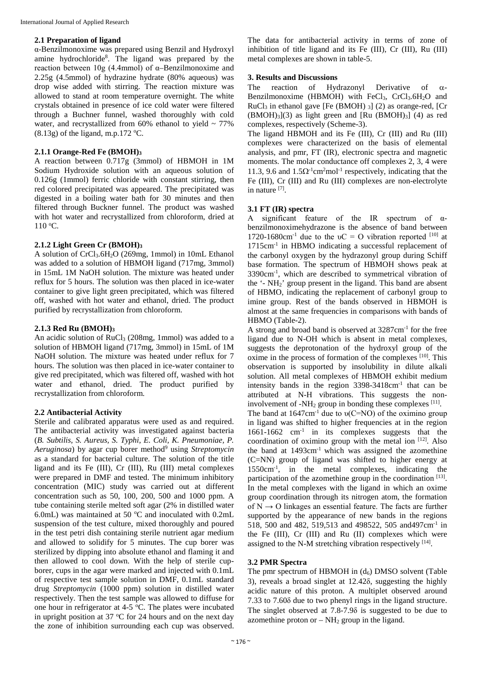#### **2.1 Preparation of ligand**

α-Benzilmonoxime was prepared using Benzil and Hydroxyl amine hydrochloride<sup>8</sup>. The ligand was prepared by the reaction between 10g (4.4mmol) of α–Benzilmonoxime and 2.25g (4.5mmol) of hydrazine hydrate (80% aqueous) was drop wise added with stirring. The reaction mixture was allowed to stand at room temperature overnight. The white crystals obtained in presence of ice cold water were filtered through a Buchner funnel, washed thoroughly with cold water, and recrystallized from  $60\%$  ethanol to yield  $\sim 77\%$  $(8.13g)$  of the ligand, m.p.172 °C.

#### **2.1.1 Orange-Red Fe (BMOH)3**

A reaction between 0.717g (3mmol) of HBMOH in 1M Sodium Hydroxide solution with an aqueous solution of 0.126g (1mmol) ferric chloride with constant stirring, then red colored precipitated was appeared. The precipitated was digested in a boiling water bath for 30 minutes and then filtered through Buckner funnel. The product was washed with hot water and recrystallized from chloroform, dried at 110 °C.

#### **2.1.2 Light Green Cr (BMOH)3**

A solution of CrCl<sub>3</sub>.6H<sub>2</sub>O (269mg, 1mmol) in 10mL Ethanol was added to a solution of HBMOH ligand (717mg, 3mmol) in 15mL 1M NaOH solution. The mixture was heated under reflux for 5 hours. The solution was then placed in ice-water container to give light green precipitated, which was filtered off, washed with hot water and ethanol, dried. The product purified by recrystallization from chloroform.

# **2.1.3 Red Ru (BMOH)3**

An acidic solution of RuCl<sub>3</sub> (208mg, 1mmol) was added to a solution of HBMOH ligand (717mg, 3mmol) in 15mL of 1M NaOH solution. The mixture was heated under reflux for 7 hours. The solution was then placed in ice-water container to give red precipitated, which was filtered off, washed with hot water and ethanol, dried. The product purified by recrystallization from chloroform.

# **2.2 Antibacterial Activity**

Sterile and calibrated apparatus were used as and required. The antibacterial activity was investigated against bacteria (*B. Subtilis, S. Aureus, S. Typhi, E. Coli, K. Pneumoniae, P. Aeruginosa*) by agar cup borer method<sup>9</sup> using *Streptomycin* as a standard for bacterial culture. The solution of the title ligand and its Fe (III), Cr (III), Ru (III) metal complexes were prepared in DMF and tested. The minimum inhibitory concentration (MIC) study was carried out at different concentration such as 50, 100, 200, 500 and 1000 ppm. A tube containing sterile melted soft agar (2% in distilled water 6.0mL) was maintained at 50  $^{\circ}$ C and inoculated with 0.2mL suspension of the test culture, mixed thoroughly and poured in the test petri dish containing sterile nutrient agar medium and allowed to solidify for 5 minutes. The cup borer was sterilized by dipping into absolute ethanol and flaming it and then allowed to cool down. With the help of sterile cupborer, cups in the agar were marked and injected with 0.1mL of respective test sample solution in DMF, 0.1mL standard drug *Streptomycin* (1000 ppm) solution in distilled water respectively. Then the test sample was allowed to diffuse for one hour in refrigerator at 4-5  $\degree$ C. The plates were incubated in upright position at 37  $\mathrm{^{\circ}C}$  for 24 hours and on the next day the zone of inhibition surrounding each cup was observed.

The data for antibacterial activity in terms of zone of inhibition of title ligand and its Fe (III), Cr (III), Ru (III) metal complexes are shown in table-5.

#### **3. Results and Discussions**

The reaction of Hydrazonyl Derivative of α-Benzilmonoxime (HBMOH) with  $FeCl<sub>3</sub>$ ,  $CrCl<sub>3</sub>.6H<sub>2</sub>O$  and RuCl<sub>3</sub> in ethanol gave [Fe (BMOH)  $_3$ ] (2) as orange-red, [Cr  $(BMOH)_3$ ](3) as light green and [Ru (BMOH)<sub>3</sub>] (4) as red complexes, respectively (Scheme-3).

The ligand HBMOH and its Fe (III), Cr (III) and Ru (III) complexes were characterized on the basis of elemental analysis, and pmr, FT (IR), electronic spectra and magnetic moments. The molar conductance off complexes 2, 3, 4 were 11.3, 9.6 and  $1.5\Omega^{-1}$ cm<sup>2</sup>mol<sup>-1</sup> respectively, indicating that the Fe (III), Cr (III) and Ru (III) complexes are non-electrolyte in nature [7] .

# **3.1 FT (IR) spectra**

A significant feature of the IR spectrum of αbenzilmonoximehydrazone is the absence of band between 1720-1680cm<sup>-1</sup> due to the  $vC = O$  vibration reported [10] at 1715cm<sup>-1</sup> in HBMO indicating a successful replacement of the carbonyl oxygen by the hydrazonyl group during Schiff base formation. The spectrum of HBMOH shows peak at 3390cm-1 , which are described to symmetrical vibration of the '- NH2' group present in the ligand. This band are absent of HBMO, indicating the replacement of carbonyl group to imine group. Rest of the bands observed in HBMOH is almost at the same frequencies in comparisons with bands of HBMO (Table-2).

A strong and broad band is observed at 3287cm-1 for the free ligand due to N-OH which is absent in metal complexes, suggests the deprotonation of the hydroxyl group of the oxime in the process of formation of the complexes [10]. This observation is supported by insolubility in dilute alkali solution. All metal complexes of HBMOH exhibit medium intensity bands in the region  $3398-3418$ cm<sup>-1</sup> that can be attributed at N-H vibrations. This suggests the noninvolvement of -NH<sub>2</sub> group in bonding these complexes  $^{[11]}$ .

The band at  $1647 \text{cm}^{-1}$  due to  $\nu(C=NO)$  of the oximino group in ligand was shifted to higher frequencies at in the region 1661-1662 cm-1 in its complexes suggests that the coordination of oximino group with the metal ion  $[12]$ . Also the band at  $1493 \text{cm}^{-1}$  which was assigned the azomethine (C=NN) group of ligand was shifted to higher energy at 1550cm-1 , in the metal complexes, indicating the participation of the azomethine group in the coordination [13]. In the metal complexes with the ligand in which an oxime group coordination through its nitrogen atom, the formation of  $N \rightarrow O$  linkages an essential feature. The facts are further supported by the appearance of new bands in the regions 518, 500 and 482, 519,513 and 498522, 505 and497cm-1 in the Fe (III), Cr (III) and Ru (II) complexes which were assigned to the N-M stretching vibration respectively  $[14]$ .

# **3.2 PMR Spectra**

The pmr spectrum of HBMOH in  $(d_6)$  DMSO solvent (Table 3), reveals a broad singlet at  $12.42\delta$ , suggesting the highly acidic nature of this proton. A multiplet observed around 7.33 to 7.60 $\delta$  due to two phenyl rings in the ligand structure. The singlet observed at  $7.8-7.9\delta$  is suggested to be due to azomethine proton or  $-NH<sub>2</sub>$  group in the ligand.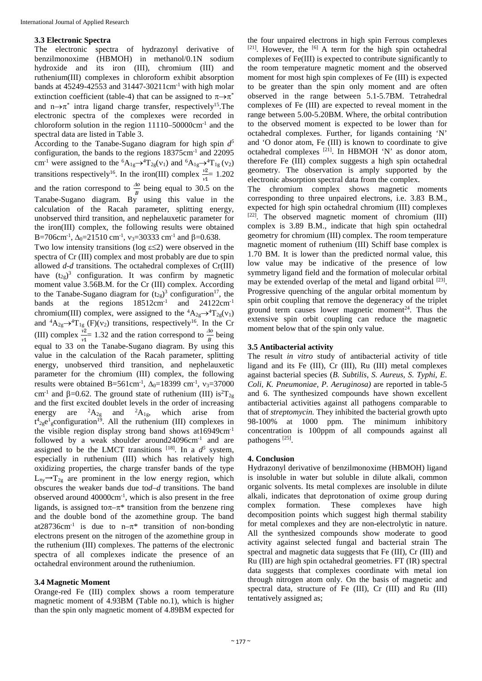#### **3.3 Electronic Spectra**

The electronic spectra of hydrazonyl derivative of benzilmonoxime (HBMOH) in methanol/0.1N sodium hydroxide and its iron (III), chromium (III) and ruthenium(III) complexes in chloroform exhibit absorption bands at  $45249-42553$  and  $31447-30211$ cm<sup>-1</sup> with high molar extinction coefficient (table-4) that can be assigned to  $\pi \rightarrow \pi^*$ and n $\rightarrow \pi^*$  intra ligand charge transfer, respectively<sup>15</sup>. The electronic spectra of the complexes were recorded in chloroform solution in the region 11110–50000cm-1 and the spectral data are listed in Table 3.

According to the Tanabe-Sugano diagram for high spin *d5* configuration, the bands to the regions 18375cm-1 and 22095 cm<sup>-1</sup> were assigned to the <sup>6</sup>A<sub>1g</sub> $\rightarrow$ <sup>4</sup>T<sub>2g</sub>(v<sub>1</sub>) and <sup>6</sup>A<sub>1g</sub> $\rightarrow$ <sup>4</sup>T<sub>1g</sub>(v<sub>2</sub>) transitions respectively<sup>16</sup>. In the iron(III) complex  $\frac{v^2}{v^1}$  1.202 and the ration correspond to  $\frac{\Delta \phi}{B}$  being equal to 30.5 on the Tanabe-Sugano diagram. By using this value in the calculation of the Racah parameter, splitting energy, unobserved third transition, and nephelauxetic parameter for the iron(III) complex, the following results were obtained B=706cm<sup>-1</sup>,  $\Delta_0$ =21510 cm<sup>-1</sup>,  $v_3$ =30333 cm<sup>-1</sup> and  $\beta$ =0.638.

Two low intensity transitions (log  $\varepsilon \leq 2$ ) were observed in the spectra of Cr (III) complex and most probably are due to spin allowed *d-d* transitions. The octahedral complexes of Cr(III) have  $(t_{2g})^3$  configuration. It was confirm by magnetic moment value 3.56B.M. for the Cr (III) complex. According to the Tanabe-Sugano diagram for  $(t_{2g})^3$  configuration<sup>17</sup>, the bands at the regions  $18512 \text{cm}^{-1}$  and  $24122 \text{cm}^{-1}$ chromium(III) complex, were assigned to the  ${}^4A_{2g} \rightarrow {}^4T_{2g}(v_1)$ and  ${}^4A_{2g} \rightarrow {}^4T_{1g}$  (F)(v<sub>2</sub>) transitions, respectively<sup>16</sup>. In the Cr (III) complex  $\frac{v_2}{v_1} = 1.32$  and the ration correspond to  $\frac{\Delta o}{B}$  being equal to 33 on the Tanabe-Sugano diagram. By using this value in the calculation of the Racah parameter, splitting energy, unobserved third transition, and nephelauxetic parameter for the chromium (III) complex, the following results were obtained B=561cm<sup>-1</sup>,  $\Delta_0 = 18399$  cm<sup>-1</sup>,  $v_3 = 37000$ cm<sup>-1</sup> and  $\beta$ =0.62. The ground state of ruthenium (III) is<sup>2</sup>T<sub>2g</sub> and the first excited doublet levels in the order of increasing energy are  ${}^{2}A_{2g}$  and  ${}^{2}A_{1g}$ , which arise from  $t^4$ <sub>2g</sub>e<sup>1</sup><sub>g</sub>configuration<sup>19</sup>. All the ruthenium (III) complexes in the visible region display strong band shows  $at16949cm^{-1}$ followed by a weak shoulder around24096cm<sup>-1</sup> and are assigned to be the LMCT transitions  $[18]$ . In a  $d^5$  system, especially in ruthenium (III) which has relatively high oxidizing properties, the charge transfer bands of the type  $L_{\pi y} \rightarrow T_{2g}$  are prominent in the low energy region, which obscures the weaker bands due to*d–d* transitions. The band observed around 40000cm-1 , which is also present in the free ligands, is assigned to  $\pi-\pi^*$  transition from the benzene ring and the double bond of the azomethine group. The band at28736cm<sup>-1</sup> is due to n– $\pi^*$  transition of non-bonding electrons present on the nitrogen of the azomethine group in the ruthenium (III) complexes. The patterns of the electronic spectra of all complexes indicate the presence of an octahedral environment around the rutheniumion.

# **3.4 Magnetic Moment**

Orange-red Fe (III) complex shows a room temperature magnetic moment of 4.93BM (Table no.1), which is higher than the spin only magnetic moment of 4.89BM expected for the four unpaired electrons in high spin Ferrous complexes  $[21]$ . However, the  $[6]$  A term for the high spin octahedral complexes of Fe(III) is expected to contribute significantly to the room temperature magnetic moment and the observed moment for most high spin complexes of Fe (III) is expected to be greater than the spin only moment and are often observed in the range between 5.1-5.7BM. Tetrahedral complexes of Fe (III) are expected to reveal moment in the range between 5.00-5.20BM. Where, the orbital contribution to the observed moment is expected to be lower than for octahedral complexes. Further, for ligands containing 'N' and 'O donor atom, Fe (III) is known to coordinate to give octahedral complexes [21] . In HBMOH 'N' as donor atom, therefore Fe (III) complex suggests a high spin octahedral geometry. The observation is amply supported by the electronic absorption spectral data from the complex.

The chromium complex shows magnetic moments corresponding to three unpaired electrons, i.e. 3.83 B.M., expected for high spin octahedral chromium (III) complexes [22] . The observed magnetic moment of chromium (III) complex is 3.89 B.M., indicate that high spin octahedral geometry for chromium (III) complex. The room temperature magnetic moment of ruthenium (III) Schiff base complex is 1.70 BM. It is lower than the predicted normal value, this low value may be indicative of the presence of low symmetry ligand field and the formation of molecular orbital may be extended overlap of the metal and ligand orbital <sup>[23]</sup>. Progressive quenching of the angular orbital momentum by spin orbit coupling that remove the degeneracy of the triplet ground term causes lower magnetic moment<sup>24</sup>. Thus the extensive spin orbit coupling can reduce the magnetic moment below that of the spin only value.

# **3.5 Antibacterial activity**

The result *in vitro* study of antibacterial activity of title ligand and its Fe (III), Cr (III), Ru (III) metal complexes against bacterial species (*B. Subtilis, S. Aureus, S. Typhi, E. Coli, K. Pneumoniae, P. Aeruginosa)* are reported in table-5 and 6. The synthesized compounds have shown excellent antibacterial activities against all pathogens comparable to that of *streptomycin.* They inhibited the bacterial growth upto 98-100% at 1000 ppm. The minimum inhibitory concentration is 100ppm of all compounds against all pathogens<sup>[25]</sup>.

# **4. Conclusion**

Hydrazonyl derivative of benzilmonoxime (HBMOH) ligand is insoluble in water but soluble in dilute alkali, common organic solvents. Its metal complexes are insoluble in dilute alkali, indicates that deprotonation of oxime group during complex formation. These complexes have high decomposition points which suggest high thermal stability for metal complexes and they are non-electrolytic in nature. All the synthesized compounds show moderate to good activity against selected fungal and bacterial strain The spectral and magnetic data suggests that Fe (III), Cr (III) and Ru (III) are high spin octahedral geometries. FT (IR) spectral data suggests that complexes coordinate with metal ion through nitrogen atom only. On the basis of magnetic and spectral data, structure of Fe (III), Cr (III) and Ru (III) tentatively assigned as;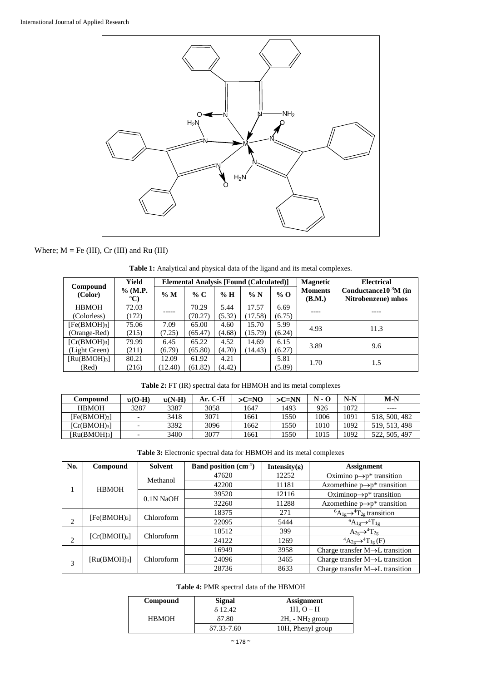

# Where; M = Fe (III), Cr (III) and Ru (III)

| Compound                 | Yield<br>$%$ (M.P.<br>$\rm ^{o}C$ | <b>Elemental Analysis [Found (Calculated)]</b> |         |        |         |        | <b>Magnetic</b>          | <b>Electrical</b>                                 |  |
|--------------------------|-----------------------------------|------------------------------------------------|---------|--------|---------|--------|--------------------------|---------------------------------------------------|--|
| (Color)                  |                                   | $\%$ M                                         | % C     | $\%$ H | $\% N$  | $%$ O  | <b>Moments</b><br>(B.M.) | Conductance $10^{-3}$ M (in<br>Nitrobenzene) mhos |  |
| <b>HBMOH</b>             | 72.03                             |                                                | 70.29   | 5.44   | 17.57   | 6.69   |                          |                                                   |  |
| (Colorless)              | (172)                             |                                                | (70.27) | (5.32) | (17.58) | (6.75) |                          |                                                   |  |
| [Fe(BMOH) <sub>3</sub> ] | 75.06                             | 7.09                                           | 65.00   | 4.60   | 15.70   | 5.99   | 4.93                     | 11.3                                              |  |
| (Orange-Red)             | (215)                             | (7.25)                                         | (65.47) | (4.68) | (15.79) | (6.24) |                          |                                                   |  |
| [Cr(BMOH) <sub>3</sub> ] | 79.99                             | 6.45                                           | 65.22   | 4.52   | 14.69   | 6.15   | 3.89                     | 9.6                                               |  |
| (Light Green)            | (211)                             | (6.79)                                         | (65.80) | (4.70) | (14.43) | (6.27) |                          |                                                   |  |
| [Ru(BMOH) <sub>3</sub> ] | 80.21                             | 12.09                                          | 61.92   | 4.21   |         | 5.81   | 1.70                     |                                                   |  |
| (Red)                    | (216)                             | 12.40)                                         | (61.82) | (4.42) |         | (5.89) |                          | 1.5                                               |  |

**Table 1:** Analytical and physical data of the ligand and its metal complexes.

|  | <b>Table 2:</b> FT (IR) spectral data for HBMOH and its metal complexes |  |
|--|-------------------------------------------------------------------------|--|
|  |                                                                         |  |

| Compound                 | $v(O-H)$ | $v(N-H)$ | Ar. C-H | $>C=NO$ | $>C=NN$ | $N - Q$ | $N-N$ | $M-N$         |
|--------------------------|----------|----------|---------|---------|---------|---------|-------|---------------|
| <b>HBMOH</b>             | 3287     | 3387     | 3058    | 1647    | 1493    | 926     | 1072  | ----          |
| [Fe(BMOH) <sub>3</sub> ] |          | 3418     | 3071    | 1661    | 1550    | 1006    | 1091  | 518, 500, 482 |
| [Cr(BMOH) <sub>3</sub> ] |          | 3392     | 3096    | 1662    | 1550    | 1010    | 1092  | 519, 513, 498 |
| [Ru(BMOH) <sub>3</sub> ] |          | 3400     | 3077    | 1661    | 1550    | 1015    | 1092  | 522, 505, 497 |

**Table 3:** Electronic spectral data for HBMOH and its metal complexes

| No. | Compound                                   | <b>Solvent</b> | <b>Band position</b> $(cm^{-1})$ | Intensity $(\epsilon)$ | <b>Assignment</b>                              |  |
|-----|--------------------------------------------|----------------|----------------------------------|------------------------|------------------------------------------------|--|
|     |                                            | Methanol       | 47620<br>12252                   |                        | Oximino $p \rightarrow p^*$ transition         |  |
|     | <b>HBMOH</b>                               |                | 42200                            | 11181                  | Azomethine $p \rightarrow p^*$ transition      |  |
|     |                                            | 0.1N NaOH      | 39520                            | 12116                  | Oximinop $\rightarrow$ p* transition           |  |
|     |                                            |                | 32260                            | 11288                  | Azomethine $p \rightarrow p^*$ transition      |  |
|     | [Fe(BMOH) <sub>3</sub> ]<br>2              | Chloroform     | 18375                            | 271                    | ${}^6A_{1g} \rightarrow {}^4T_{2g}$ transition |  |
|     |                                            |                | 22095                            | 5444                   | ${}^6A_{1g} \rightarrow {}^4T_{1g}$            |  |
|     | [Cr(BMOH) <sub>3</sub> ]<br>$\overline{c}$ | Chloroform     | 18512                            | 399                    | $A_{2g} \rightarrow ^{4} T_{2g}$               |  |
|     |                                            |                | 24122                            | 1269                   | ${}^4A_{2g} \rightarrow {}^4T_{1g}$ (F)        |  |
|     |                                            |                | 16949                            | 3958                   | Charge transfer $M \rightarrow L$ transition   |  |
| 3   | $\left[\text{Ru(BMOH)}_{3}\right]$         | Chloroform     | 24096                            | 3465                   | Charge transfer $M \rightarrow L$ transition   |  |
|     |                                            |                | 28736                            | 8633                   | Charge transfer $M \rightarrow L$ transition   |  |

# **Table 4:** PMR spectral data of the HBMOH

| Compound     | Signal         | Assignment        |
|--------------|----------------|-------------------|
|              | δ 12.42        | $1H. O-H$         |
| <b>HBMOH</b> | 87.80          | $2H - NH2$ group  |
|              | $87.33 - 7.60$ | 10H, Phenyl group |